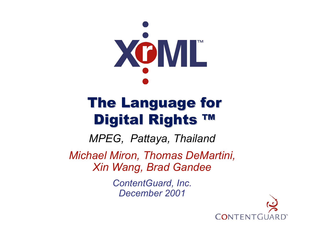

# **The Language for** Digital Rights ™

*MPEG, Pattaya, Thailand*

*Michael Miron, Thomas DeMartini, Xin Wang, Brad Gandee*

> *ContentGuard, Inc. December 2001*

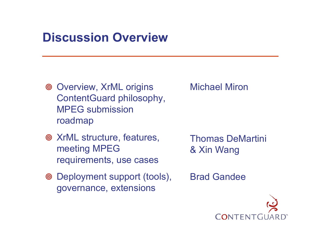#### **Discussion Overview**

- Overview, XrML origins ContentGuard philosophy, MPEG submission roadmap
- XrML structure, features, meeting MPEG requirements, use cases
- Deployment support (tools), governance, extensions

Michael Miron

Thomas DeMartini & Xin Wang

Brad Gandee

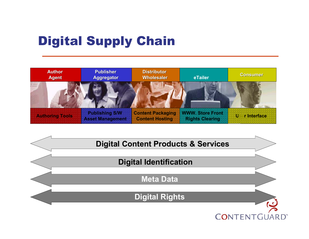# Digital Supply Chain



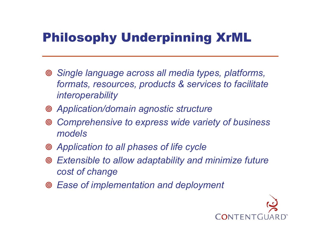# Philosophy Underpinning XrML

- *Single language across all media types, platforms, formats, resources, products & services to facilitate interoperability*
- *Application/domain agnostic structure*
- $\circledcirc$  *Comprehensive to express wide variety of business models*
- *Application to all phases of life cycle*
- *Extensible to allow adaptability and minimize future cost of change*
- *Ease of implementation and deployment*

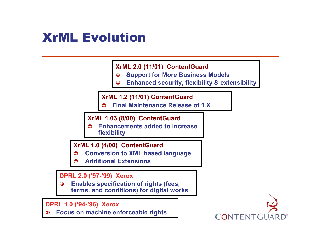#### XrML Evolution

**XrML 2.0 (11/01) ContentGuard**

- $\circledcirc$ **Support for Mor e Business Models**
- ◉ **Enhanced security, flexibility & extensibility**

**XrML 1.2 (11/01) ContentGuard**

◉ **Final Maintenance Release of 1.X**

**XrML 1.03 (8/00) ContentGuard**

◉ **Enhancements added t o increase flexibility**

**XrML 1.0 (4/00) ContentGuard**

- $\circledcirc$ **Conversion to XML based language**
- ◉ **Additional Extensions**

**DPRL 2.0 ('97-'99) Xerox**

 $\circledcirc$  **Enables specification o f rights (fees, terms, and conditions) for digital works**

**DPRL 1.0 ('94-'96) Xerox**

**ම Focus on machine enforceable rights**

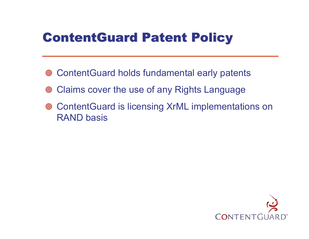## **ContentGuard Patent Policy**

- ContentGuard holds fundamental early patents
- Claims cover the use of any Rights Language
- ContentGuard is licensing XrML implementations on RAND basis

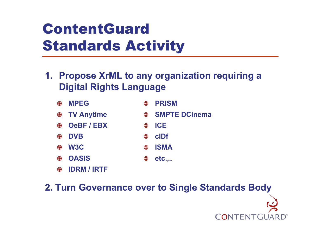# ContentGuardStandards Activity

- **1. Propose XrML to any organization requiring a Digital Rights Language**
	- $\circledcirc$  **MPEG**  $\circledcirc$
	- $\circledcirc$ **TV Anytime**
	- $\circledcirc$ **OeBF / EBX**
	- $\circledcirc$ **DVB**
	- $\circledcirc$ **W3C**
	- $\circledcirc$ **OASIS**
	- ெ **IDRM / IRTF**
- **PRISM**
- ெ **SMPTE DCinema**

CONTENT

- ெ **ICE**
- ெ **cIDf**
- $\circledcirc$ **ISMA**
- ெ **etc.,.***.*

**2. Turn Governance over to Single Standards Body**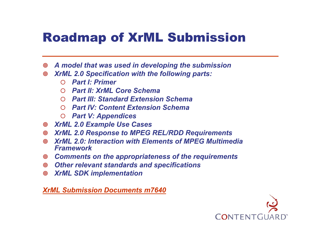## Roadmap of XrML Submission

- $\circledcirc$ *A model that was used in developing the submission*
- $\circledcirc$  *XrML 2.0 Specification with the following parts:*
	- { *Part I: Primer*
	- { *Part II: XrML Core Schema*
	- { *Part III: Standard Extension Schema*
	- { *Part IV: Content Extension Schema*
	- { *Part V: Appendices*
- $\circledcirc$ *XrML 2.0 Example Use Cases*
- $\circledcirc$ *XrML 2.0 Response to MPEG REL/RDD Requirements*
- ெ *XrML 2.0: Interaction with Elements of MPEG Multimedia Framework*
- $\circledcirc$ *Comments on the appropriateness of the requirements*
- $\circledcirc$ *Other relevant standards and specifications*
- $\circledcirc$ *XrML SDK implementation*

*XrML Submission Documents m7640*

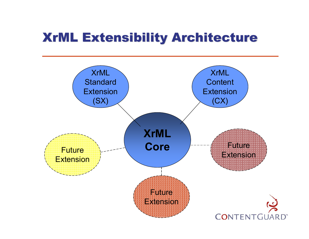#### XrML Extensibility Architecture XrML Extensibility Architecture

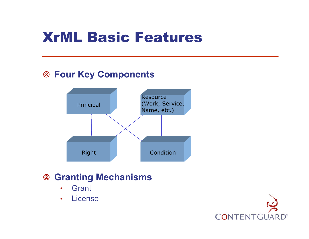# XrML Basic Features

#### **Four Key Components**



#### **Granting Mechanisms**

- •**Grant**
- •Licens e

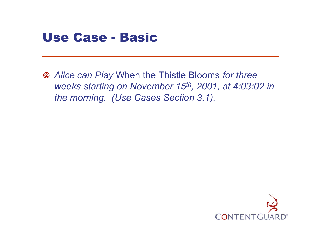

 *Alice can Play* When the Thistle Blooms *for three weeks starting on November 15th, 2001, at 4:03:02 in the morning. (Use Cases Section 3.1).*

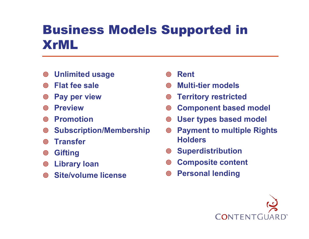## Business Models Supported in XrML

- $\circledcirc$ **Unlimited usage**
- ெ **Flat fee sale**
- $\circledcirc$ **Pay per view**
- $\circledcirc$ **Preview**
- ெ **Promotion**
- $\circledcirc$ **Subscription/Membership**
- $\circledcirc$ **Transfer**
- $\circledcirc$ **Gifting**
- $\circledcirc$ **Library loan**
- $\circledcirc$ **Site/volume license**
- $\circledcirc$ **Rent**
- ெ **Multi-tier models**
- $\circledcirc$ **Territory restricted**
- $\circledcirc$ **Component based model**
- $\circledcirc$ **User types based model**
- $\circledcirc$  **Payment to multiple Rights Holders**
- $\circledcirc$ **Superdistribution**
- $\circledcirc$ **Composite content**
- $\circledcirc$ **Personal lending**

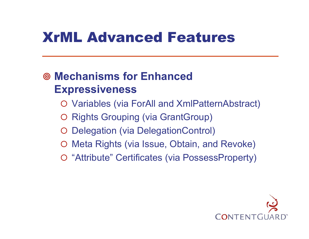# XrML Advanced Features

#### **Mechanisms for Enhanced Expressiveness**

- { Variables (via ForAll and XmlPatternAbstract)
- { Rights Grouping (via GrantGroup)
- { Delegation (via DelegationControl)
- { Meta Rights (via Issue, Obtain, and Revoke)
- { "Attribute" Certificates (via PossessProperty)

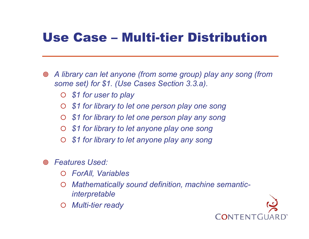#### Use Case – Multi-tier Distribution

- $\circledcirc$  *A library can let anyone (from some group) play any song (from some set) for \$1. (Use Cases Section 3.3.a).*
	- $\bigcap$ *\$1 for user to play*
	- $\bigcap$ *\$1 for library to let one person play one song*
	- $\bigcirc$ *\$1 for library to let one person play any song*
	- $\bigcirc$ *\$1 for library to let anyone play one song*
	- $\bigcirc$ *\$1 for library to let anyone play any song*
- ெ *Features Used:*
	- { *ForAll, Variables*
	- $\bigcirc$  *Mathematically sound definition, machine semanticinterpretable*
	- ${\color{black} \bigcirc}$ *Multi-tier ready*

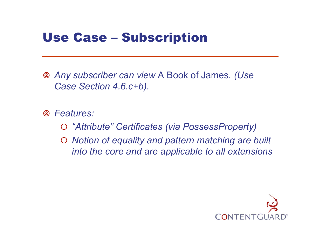#### Use Case – Subscription

 *Any subscriber can view* A Book of James*. (Use Case Section 4.6.c+b).*

*Features:*

- { *"Attribute" Certificates (via PossessProperty)*
- { *Notion of equality and pattern matching are built into the core and are applicable to all extensions*

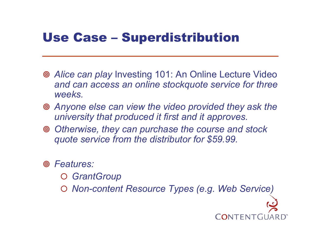#### Use Case – Superdistribution

- *Alice can play* Investing 101: An Online Lecture Video *and can access an online stockquote service for three weeks.*
- *Anyone else can view the video provided they ask the university that produced it first and it approves.*
- *Otherwise, they can purchase the course and stock quote service from the distributor for \$59.99.*
- *Features:*
	- { *GrantGroup*
	- { *Non-content Resource Types (e.g. Web Service)*

TEN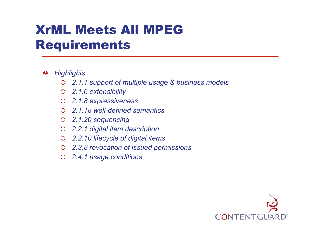#### XrML Meets All MPEG Requirements

#### $\circledcirc$ *Highlights*

- $\bigcap$ *2.1.1 support of multiple usage & business models*
- { *2.1.6 extensibility*
- { *2.1.8 expressiveness*
- { *2.1.18 well-defined semantics*
- { *2.1.20 sequencing*
- ${\bigcirc}$ *2.2.1 digital item description*
- $\bigcirc$ *2.2.10 lifecycle of digital items*
- { *2.3.8 revocation of issued permissions*
- ${\bigcirc}$ *2.4.1 usage conditions*

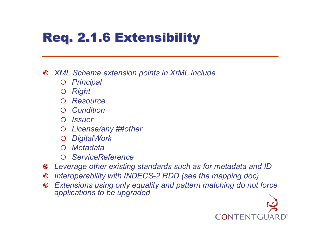# **Req. 2.1.6 Extensibility**

 $\circledcirc$ *XML Schema extension points in XrML include*

- ${\color{black} \bigcirc}$ *Principal*
- ${\color{black} \bigcirc}$ *Right*
- ${\color{black} \bigcirc}$ *Resource*
- ${\color{black} \bigcirc}$ *Condition*
- { *Issuer*
- ${\color{black} \bigcirc}$ *License/any ##other*
- ${\color{black} \bigcirc}$ *DigitalWork*
- $\bigcap$ *Metadata*
- { *ServiceReference*
- $\circledcirc$ *Leverage other existing standards such as for metadata and ID*
- $\circledcirc$ *Interoperability with INDECS-2 RDD (see the mapping doc)*
- $\circledcirc$  *Extensions using only equality and pattern matching do not force applic ations to be upgraded*

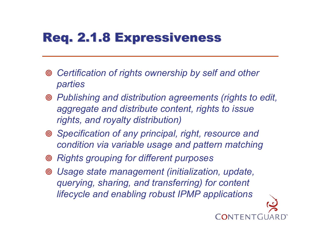# Req. 2.1.8 Expressiveness

- *Certification of rights ownership by self and other parties*
- *Publishing and distribution agreements (rights to edit, aggregate and distribute content, rights to issue rights, and royalty distribution)*
- *Specification of any principal, right, resource and condition via variable usage and pattern matching*
- *Rights grouping for different purposes*
- *Usage state management (initialization, update, querying, sharing, and transferring) for content lifecycle and enabling robust IPMP applications*

'FNT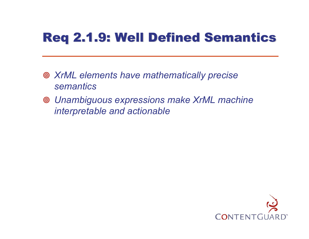# **Req 2.1.9: Well Defined Semantics**

- *XrML elements have mathematically precise semantics*
- *Unambiguous expressions make XrML machine interpretable and actionable*

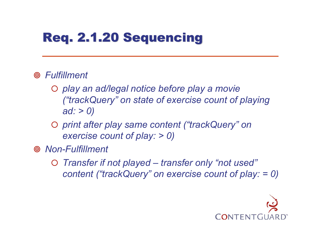# Req. 2.1.20 Sequencing

#### *Fulfillment*

- { *play an ad/legal notice before play a movie ("trackQuery" on state of exercise count of playing ad: > 0)*
- { *print after play same content ("trackQuery" on exercise count of play: > 0)*
- *Non-Fulfillment*
	- { *Transfer if not played – transfer only "not used" content ("trackQuery" on exercise count of play: = 0)*

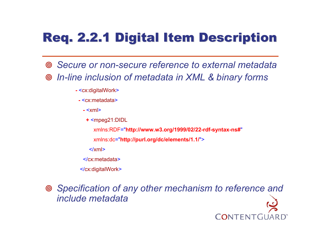# Req. 2.2.1 Digital Item Description Req. 2.2.1 Digital Item Description

- *Secure or non-secure reference to external metadata*  $\circledcirc$  *In-line inclusion of metadata in XML & binary forms*
	- **-** <cx:di gitalWork >
	- **-** <cx:metadata>
		- **-** <xml >
		- **+** <mpeg21:DIDL
			- xmlns:RD F="**http://www.w3.org/1999/02/22-rdf-sy ntax-ns#**"
			- xmlns:dc="**http://purl.org/dc/elements/1.1/**">
			- </xml>
		- </cx:metadata>
	- </cx:digitalWork >

 *Specification of any other mechanism to reference and include metadata*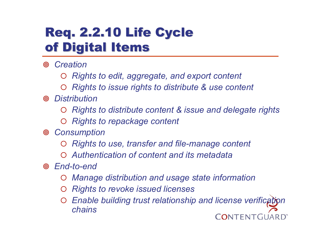## **Req. 2.2.10 Life Cycle** of Digital Items

*Creation*

- ${\color{black} \bigcirc}$ *Rights to edit, aggregate, and export content*
- ${\color{black} \bigcirc}$ *Rights to issue rights to distribute & use content*
- *Distribution*
	- ${\color{black} \bigcirc}$ *Rights to distribute content & issue and delegate rights*
	- { *Rights to repackage content*
- *Consumption*
	- ${\color{black} \bigcirc}$ *Rights to use, transfer and file-manage content*
	- { *Authentication of content and its metadata*
- *End-to-end*
	- ${\color{black} \bigcirc}$ *Manage distribution and usage state information*
	- ${\color{black} \bigcirc}$ *Rights to revoke issued licenses*
	- *Enable building trust relationship and license verification*   ${\color{black} \bigcirc}$ *chains* CONTENT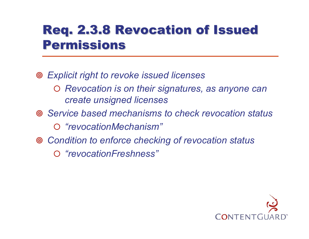### Req. 2.3.8 Revocation of Issued **Permissions**

- *Explicit right to revoke issued licenses*
	- { *Revocation is on their signatures, as anyone can create unsigned licenses*
- *Service based mechanisms to check revocation status*
	- { *"revocationMechanism"*
- *Condition to enforce checking of revocation status*
	- { *"revocationFreshness"*

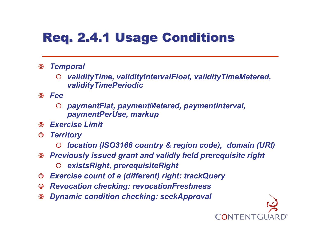# **Req. 2.4.1 Usage Conditions**

- $\circledcirc$  *Temporal*
	- $\bigcirc$  *validityTime, validityIntervalFloat, validityTimeMetered, validityTimePeriodic*
- ெ *Fee*
	- $\bigcirc$  *paymentFlat, paymentMetered, paymentInterval, paymentPerUse, markup*
- **ම** *Exercise Limit*
- $\circledcirc$  *Territory*
	- { *location (ISO3166 country & region code), domain (URI)*

CONTENTG

- $\circledcirc$  *Previously issued grant and validly held prerequisite right*
	- $\bigcirc$ *existsRight, prerequisiteRight*
- $\circledcirc$ *Exercise count of a (different) right: trackQuery*
- $\circledcirc$ *Revocation checking: revocationFreshness*
- $\circledcirc$ *Dynamic condition checking: seekApproval*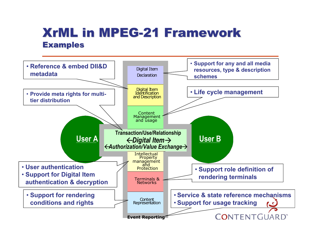#### **XrML in MPEG-21 Framework Examples**

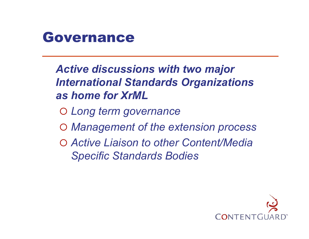

*Active discussions with two major International Standards Organizations as home for XrML*

- { *Long term governance*
- { *Management of the extension process*
- { *Active Liaison to other Content/Media Specific Standards Bodies*

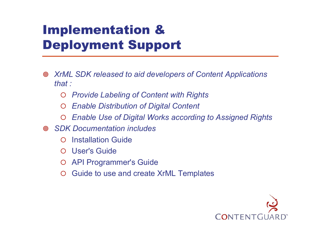# Implementation & Deployment Support

- $\circledcirc$  *XrML SDK released to aid developers of Content Applications that :*
	- ${\color{black} \bigcirc}$ *Provide Labeling of Content with Rights*
	- $\bigcirc$ *Enable Distribution of Digital Content*
	- $\bigcirc$ *Enable Use of Digital Works according to Assigned Rights*
- $\circledcirc$  *SDK Documenta tion includes*
	- $\bigcap$ Installation Guide
	- ${\color{black} \bigcirc}$ User's Guide
	- $\bigcirc$ API Programmer's Guide
	- $\bigcirc$ Guide to use and create XrML Templates

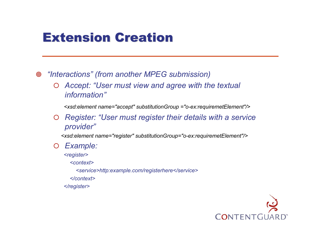#### **Extension Creation**

 $\circledcirc$ *"Interactions" (from another MPEG submission)*

 ${\color{black} \bigcirc}$  *Accept: "User must view and agree with the textual information"*

*<xsd:element name="accept" substitutionGroup <sup>=</sup>"o-ex:requiremetElement"/>*

 ${\bigcirc}$  *Register: "User must register their details with a service provider"*

*<xsd:element name="register" substitutionGroup="o-ex:requiremetElement"/>*

 $\bigcirc$ *Example:* 

*<register>*

*<context>*

*<service>http:example.com/registerhere</service>*

*</context>*

*</register>*

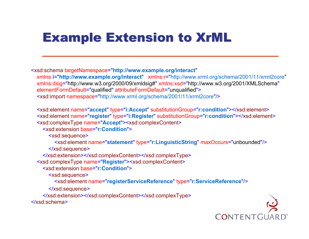# Example Extension to XrML Example Extension to XrML

<xsd:schem a targetNamespace="**http://www.example.org/interact**" xmlns:**i**="**http://www.example.org/interact**" xmlns:r="http://ww w.xrml.org/schema/2001/11/xrml2core" xmlns:dsig="http://www.w3.org/2000/09/xmldsig#" xmlns:xsd="http://www.w3.org/2001/XMLSchema" elementFormDefault="qualified" attri buteForm Default="unqualified"> <xsd:import namespace="http://www.xrml.org/schema/2001/11/xrml2core"/>

<xsd:element name="**accept**" type="**i:Accept**" substitutionGroup="**r:condition**"></xsd:element > <xsd:element name="**register**" type="**i:Register**" substitutionGroup="**r:condition**"></xsd:element > <xsd:com plexType name="**Accept**"> <xsd:complexContent >

<xsd:extension base="**r:Condition**">

<xsd:sequence >

<xsd:element name="**statement**" type="**r:LinguisticString**" <sup>m</sup> axOccurs="unbounded"/>

</xsd:sequence >

</xsd:extensi on></xsd:complexContent></xsd:com plexType >

<xsd:com plexType name="**Register**"> <xsd:com plexCont ent >

<xsd:extension base="**r:Condition**">

<xsd:sequence >

<xsd:element name="**registerServiceReference**" type="**r:ServiceReference**"/>

</xsd:sequence >

</xsd:extensi o n></xsd:complexContent></xsd:com plexType >

</xsd:schema>